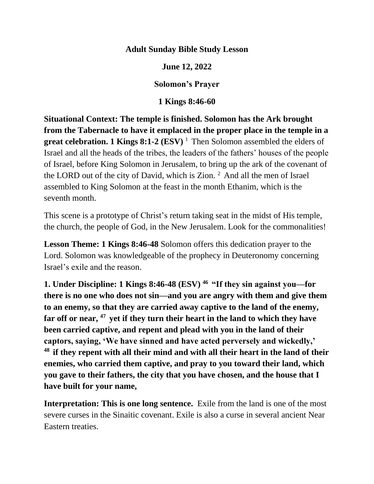### **Adult Sunday Bible Study Lesson**

#### **June 12, 2022**

#### **Solomon's Prayer**

### **1 Kings 8:46-60**

**Situational Context: The temple is finished. Solomon has the Ark brought from the Tabernacle to have it emplaced in the proper place in the temple in a great celebration. 1 Kings 8:1-2 (ESV)** <sup>1</sup> Then Solomon assembled the elders of Israel and all the heads of the tribes, the leaders of the fathers' houses of the people of Israel, before King Solomon in Jerusalem, to bring up the ark of the covenant of the LORD out of the city of David, which is Zion.  $2$  And all the men of Israel assembled to King Solomon at the feast in the month Ethanim, which is the seventh month.

This scene is a prototype of Christ's return taking seat in the midst of His temple, the church, the people of God, in the New Jerusalem. Look for the commonalities!

**Lesson Theme: 1 Kings 8:46-48** Solomon offers this dedication prayer to the Lord. Solomon was knowledgeable of the prophecy in Deuteronomy concerning Israel's exile and the reason.

**1. Under Discipline: 1 Kings 8:46-48 (ESV) <sup>46</sup>"If they sin against you—for there is no one who does not sin—and you are angry with them and give them to an enemy, so that they are carried away captive to the land of the enemy, far off or near, <sup>47</sup>yet if they turn their heart in the land to which they have been carried captive, and repent and plead with you in the land of their captors, saying, 'We have sinned and have acted perversely and wickedly,' <sup>48</sup>if they repent with all their mind and with all their heart in the land of their enemies, who carried them captive, and pray to you toward their land, which you gave to their fathers, the city that you have chosen, and the house that I have built for your name,**

**Interpretation: This is one long sentence.** Exile from the land is one of the most severe curses in the Sinaitic covenant. Exile is also a curse in several ancient Near Eastern treaties.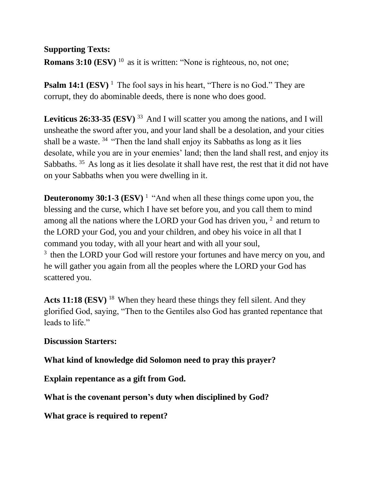### **Supporting Texts:**

**Romans 3:10 (ESV)** <sup>10</sup> as it is written: "None is righteous, no, not one;

**Psalm 14:1 (ESV)** <sup>1</sup> The fool says in his heart, "There is no God." They are corrupt, they do abominable deeds, there is none who does good.

**Leviticus 26:33-35 (ESV)**  $^{33}$  And I will scatter you among the nations, and I will unsheathe the sword after you, and your land shall be a desolation, and your cities shall be a waste.  $34$  "Then the land shall enjoy its Sabbaths as long as it lies desolate, while you are in your enemies' land; then the land shall rest, and enjoy its Sabbaths. <sup>35</sup> As long as it lies desolate it shall have rest, the rest that it did not have on your Sabbaths when you were dwelling in it.

**Deuteronomy 30:1-3 (ESV)<sup>1</sup>** "And when all these things come upon you, the blessing and the curse, which I have set before you, and you call them to mind among all the nations where the LORD your God has driven you,  $2$  and return to the LORD your God, you and your children, and obey his voice in all that I command you today, with all your heart and with all your soul,  $3$  then the LORD your God will restore your fortunes and have mercy on you, and

he will gather you again from all the peoples where the LORD your God has scattered you.

Acts 11:18 (ESV)<sup>18</sup> When they heard these things they fell silent. And they glorified God, saying, "Then to the Gentiles also God has granted repentance that leads to life."

### **Discussion Starters:**

**What kind of knowledge did Solomon need to pray this prayer?**

**Explain repentance as a gift from God.**

**What is the covenant person's duty when disciplined by God?**

**What grace is required to repent?**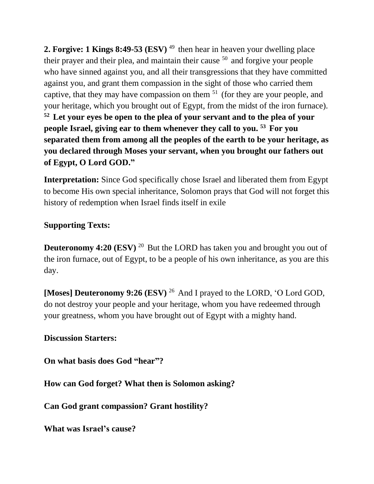**2. Forgive: 1 Kings 8:49-53 (ESV)<sup>49</sup> then hear in heaven your dwelling place** their prayer and their plea, and maintain their cause  $50$  and forgive your people who have sinned against you, and all their transgressions that they have committed against you, and grant them compassion in the sight of those who carried them captive, that they may have compassion on them  $51$  (for they are your people, and your heritage, which you brought out of Egypt, from the midst of the iron furnace). **<sup>52</sup>Let your eyes be open to the plea of your servant and to the plea of your people Israel, giving ear to them whenever they call to you. <sup>53</sup>For you separated them from among all the peoples of the earth to be your heritage, as you declared through Moses your servant, when you brought our fathers out of Egypt, O Lord GOD."**

**Interpretation:** Since God specifically chose Israel and liberated them from Egypt to become His own special inheritance, Solomon prays that God will not forget this history of redemption when Israel finds itself in exile

# **Supporting Texts:**

**Deuteronomy 4:20 (ESV)** <sup>20</sup> But the LORD has taken you and brought you out of the iron furnace, out of Egypt, to be a people of his own inheritance, as you are this day.

**[Moses] Deuteronomy 9:26 (ESV)** <sup>26</sup> And I prayed to the LORD, 'O Lord GOD, do not destroy your people and your heritage, whom you have redeemed through your greatness, whom you have brought out of Egypt with a mighty hand.

# **Discussion Starters:**

**On what basis does God "hear"?**

**How can God forget? What then is Solomon asking?**

**Can God grant compassion? Grant hostility?**

**What was Israel's cause?**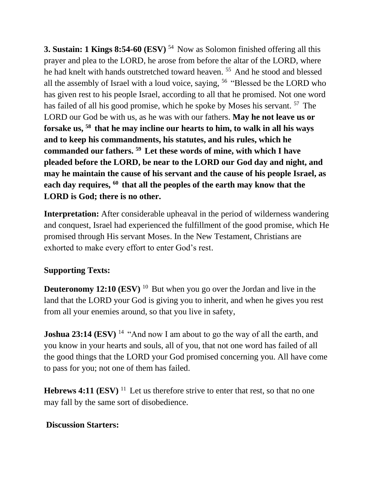**3. Sustain: 1 Kings 8:54-60 (ESV)** <sup>54</sup> Now as Solomon finished offering all this prayer and plea to the LORD, he arose from before the altar of the LORD, where he had knelt with hands outstretched toward heaven.<sup>55</sup> And he stood and blessed all the assembly of Israel with a loud voice, saying,  $56$  "Blessed be the LORD who has given rest to his people Israel, according to all that he promised. Not one word has failed of all his good promise, which he spoke by Moses his servant.  $57$  The LORD our God be with us, as he was with our fathers. **May he not leave us or forsake us, <sup>58</sup>that he may incline our hearts to him, to walk in all his ways and to keep his commandments, his statutes, and his rules, which he commanded our fathers. <sup>59</sup>Let these words of mine, with which I have pleaded before the LORD, be near to the LORD our God day and night, and may he maintain the cause of his servant and the cause of his people Israel, as each day requires, <sup>60</sup>that all the peoples of the earth may know that the LORD is God; there is no other.** 

**Interpretation:** After considerable upheaval in the period of wilderness wandering and conquest, Israel had experienced the fulfillment of the good promise, which He promised through His servant Moses. In the New Testament, Christians are exhorted to make every effort to enter God's rest.

# **Supporting Texts:**

**Deuteronomy 12:10 (ESV)** <sup>10</sup> But when you go over the Jordan and live in the land that the LORD your God is giving you to inherit, and when he gives you rest from all your enemies around, so that you live in safety,

**Joshua 23:14 (ESV)** <sup>14</sup> "And now I am about to go the way of all the earth, and you know in your hearts and souls, all of you, that not one word has failed of all the good things that the LORD your God promised concerning you. All have come to pass for you; not one of them has failed.

**Hebrews 4:11 (ESV)** <sup>11</sup> Let us therefore strive to enter that rest, so that no one may fall by the same sort of disobedience.

### **Discussion Starters:**